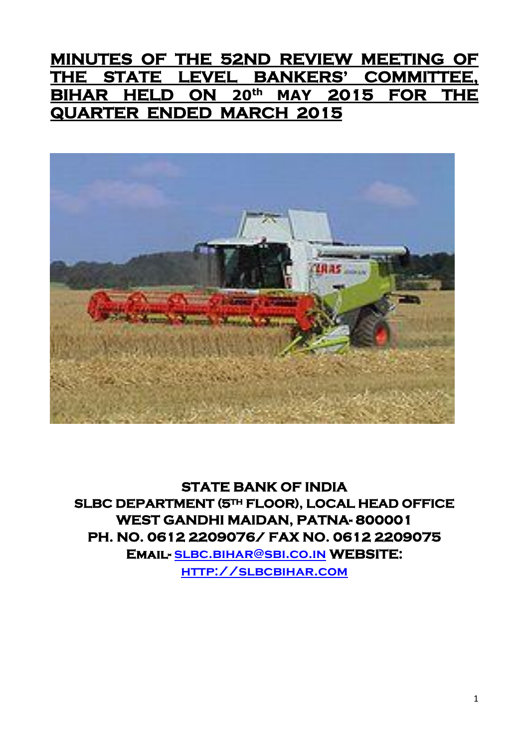# **MINUTES OF THE 52ND REVIEW MEETING OF THE STATE LEVEL BANKERS' COMMITTEE, BIHAR HELD ON 20th MAY 2015 FOR THE QUARTER ENDED MARCH 2015**



**STATE BANK OF INDIA SLBC DEPARTMENT (5TH FLOOR), LOCAL HEAD OFFICE WEST GANDHI MAIDAN, PATNA- 800001 PH. NO. 0612 2209076/ FAX NO. 0612 2209075 Email- [slbc.bihar@sbi.co.in](mailto:slbc.bihar@sbi.co.in) WEBSITE: [http://slbcbihar.com](http://slbcbihar.com/)**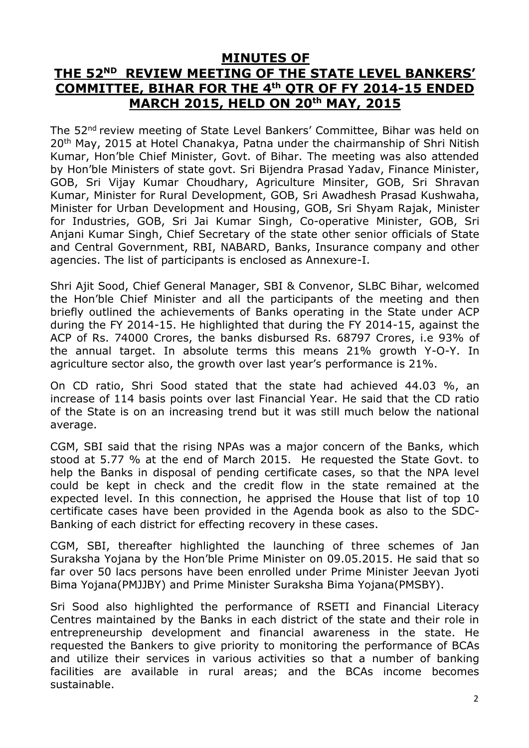## **MINUTES OF THE 52ND REVIEW MEETING OF THE STATE LEVEL BANKERS' COMMITTEE, BIHAR FOR THE 4th QTR OF FY 2014-15 ENDED MARCH 2015, HELD ON 20th MAY, 2015**

The 52nd review meeting of State Level Bankers' Committee, Bihar was held on 20th May, 2015 at Hotel Chanakya, Patna under the chairmanship of Shri Nitish Kumar, Hon'ble Chief Minister, Govt. of Bihar. The meeting was also attended by Hon'ble Ministers of state govt. Sri Bijendra Prasad Yadav, Finance Minister, GOB, Sri Vijay Kumar Choudhary, Agriculture Minsiter, GOB, Sri Shravan Kumar, Minister for Rural Development, GOB, Sri Awadhesh Prasad Kushwaha, Minister for Urban Development and Housing, GOB, Sri Shyam Rajak, Minister for Industries, GOB, Sri Jai Kumar Singh, Co-operative Minister, GOB, Sri Anjani Kumar Singh, Chief Secretary of the state other senior officials of State and Central Government, RBI, NABARD, Banks, Insurance company and other agencies. The list of participants is enclosed as Annexure-I.

Shri Ajit Sood, Chief General Manager, SBI & Convenor, SLBC Bihar, welcomed the Hon'ble Chief Minister and all the participants of the meeting and then briefly outlined the achievements of Banks operating in the State under ACP during the FY 2014-15. He highlighted that during the FY 2014-15, against the ACP of Rs. 74000 Crores, the banks disbursed Rs. 68797 Crores, i.e 93% of the annual target. In absolute terms this means 21% growth Y-O-Y. In agriculture sector also, the growth over last year's performance is 21%.

On CD ratio, Shri Sood stated that the state had achieved 44.03 %, an increase of 114 basis points over last Financial Year. He said that the CD ratio of the State is on an increasing trend but it was still much below the national average.

CGM, SBI said that the rising NPAs was a major concern of the Banks, which stood at 5.77 % at the end of March 2015. He requested the State Govt. to help the Banks in disposal of pending certificate cases, so that the NPA level could be kept in check and the credit flow in the state remained at the expected level. In this connection, he apprised the House that list of top 10 certificate cases have been provided in the Agenda book as also to the SDC-Banking of each district for effecting recovery in these cases.

CGM, SBI, thereafter highlighted the launching of three schemes of Jan Suraksha Yojana by the Hon'ble Prime Minister on 09.05.2015. He said that so far over 50 lacs persons have been enrolled under Prime Minister Jeevan Jyoti Bima Yojana(PMJJBY) and Prime Minister Suraksha Bima Yojana(PMSBY).

Sri Sood also highlighted the performance of RSETI and Financial Literacy Centres maintained by the Banks in each district of the state and their role in entrepreneurship development and financial awareness in the state. He requested the Bankers to give priority to monitoring the performance of BCAs and utilize their services in various activities so that a number of banking facilities are available in rural areas; and the BCAs income becomes sustainable.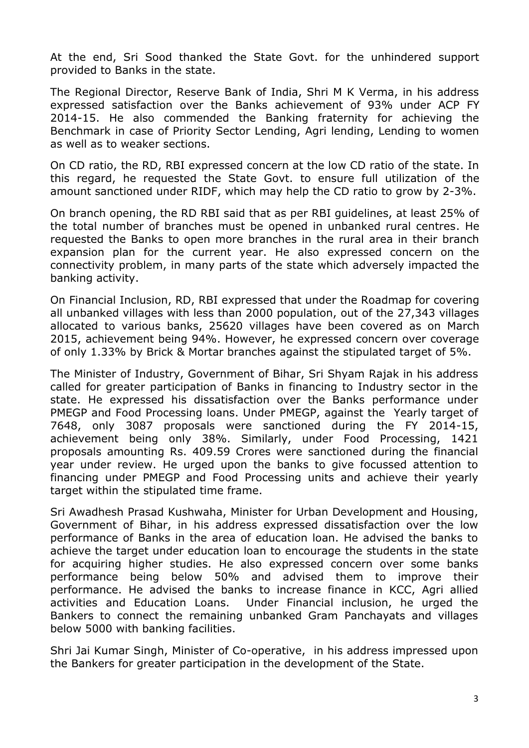At the end, Sri Sood thanked the State Govt. for the unhindered support provided to Banks in the state.

The Regional Director, Reserve Bank of India, Shri M K Verma, in his address expressed satisfaction over the Banks achievement of 93% under ACP FY 2014-15. He also commended the Banking fraternity for achieving the Benchmark in case of Priority Sector Lending, Agri lending, Lending to women as well as to weaker sections.

On CD ratio, the RD, RBI expressed concern at the low CD ratio of the state. In this regard, he requested the State Govt. to ensure full utilization of the amount sanctioned under RIDF, which may help the CD ratio to grow by 2-3%.

On branch opening, the RD RBI said that as per RBI guidelines, at least 25% of the total number of branches must be opened in unbanked rural centres. He requested the Banks to open more branches in the rural area in their branch expansion plan for the current year. He also expressed concern on the connectivity problem, in many parts of the state which adversely impacted the banking activity.

On Financial Inclusion, RD, RBI expressed that under the Roadmap for covering all unbanked villages with less than 2000 population, out of the 27,343 villages allocated to various banks, 25620 villages have been covered as on March 2015, achievement being 94%. However, he expressed concern over coverage of only 1.33% by Brick & Mortar branches against the stipulated target of 5%.

The Minister of Industry, Government of Bihar, Sri Shyam Rajak in his address called for greater participation of Banks in financing to Industry sector in the state. He expressed his dissatisfaction over the Banks performance under PMEGP and Food Processing loans. Under PMEGP, against the Yearly target of 7648, only 3087 proposals were sanctioned during the FY 2014-15, achievement being only 38%. Similarly, under Food Processing, 1421 proposals amounting Rs. 409.59 Crores were sanctioned during the financial year under review. He urged upon the banks to give focussed attention to financing under PMEGP and Food Processing units and achieve their yearly target within the stipulated time frame.

Sri Awadhesh Prasad Kushwaha, Minister for Urban Development and Housing, Government of Bihar, in his address expressed dissatisfaction over the low performance of Banks in the area of education loan. He advised the banks to achieve the target under education loan to encourage the students in the state for acquiring higher studies. He also expressed concern over some banks performance being below 50% and advised them to improve their performance. He advised the banks to increase finance in KCC, Agri allied activities and Education Loans. Under Financial inclusion, he urged the Bankers to connect the remaining unbanked Gram Panchayats and villages below 5000 with banking facilities.

Shri Jai Kumar Singh, Minister of Co-operative, in his address impressed upon the Bankers for greater participation in the development of the State.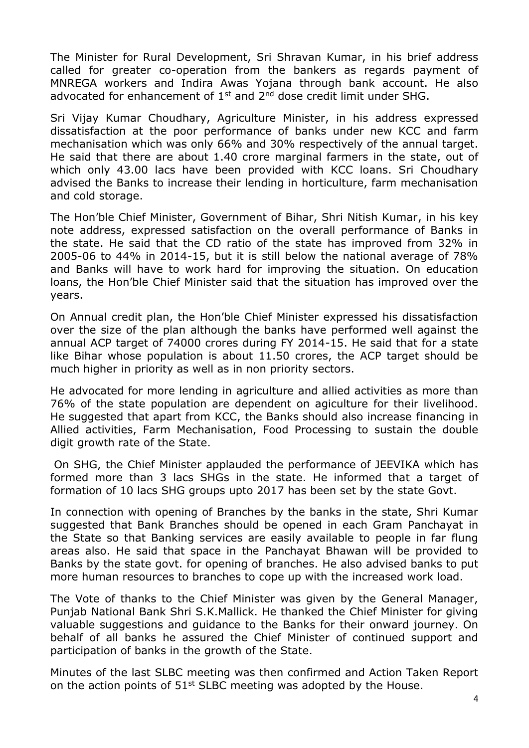The Minister for Rural Development, Sri Shravan Kumar, in his brief address called for greater co-operation from the bankers as regards payment of MNREGA workers and Indira Awas Yojana through bank account. He also advocated for enhancement of  $1<sup>st</sup>$  and  $2<sup>nd</sup>$  dose credit limit under SHG.

Sri Vijay Kumar Choudhary, Agriculture Minister, in his address expressed dissatisfaction at the poor performance of banks under new KCC and farm mechanisation which was only 66% and 30% respectively of the annual target. He said that there are about 1.40 crore marginal farmers in the state, out of which only 43.00 lacs have been provided with KCC loans. Sri Choudhary advised the Banks to increase their lending in horticulture, farm mechanisation and cold storage.

The Hon'ble Chief Minister, Government of Bihar, Shri Nitish Kumar, in his key note address, expressed satisfaction on the overall performance of Banks in the state. He said that the CD ratio of the state has improved from 32% in 2005-06 to 44% in 2014-15, but it is still below the national average of 78% and Banks will have to work hard for improving the situation. On education loans, the Hon'ble Chief Minister said that the situation has improved over the years.

On Annual credit plan, the Hon'ble Chief Minister expressed his dissatisfaction over the size of the plan although the banks have performed well against the annual ACP target of 74000 crores during FY 2014-15. He said that for a state like Bihar whose population is about 11.50 crores, the ACP target should be much higher in priority as well as in non priority sectors.

He advocated for more lending in agriculture and allied activities as more than 76% of the state population are dependent on agiculture for their livelihood. He suggested that apart from KCC, the Banks should also increase financing in Allied activities, Farm Mechanisation, Food Processing to sustain the double digit growth rate of the State.

On SHG, the Chief Minister applauded the performance of JEEVIKA which has formed more than 3 lacs SHGs in the state. He informed that a target of formation of 10 lacs SHG groups upto 2017 has been set by the state Govt.

In connection with opening of Branches by the banks in the state, Shri Kumar suggested that Bank Branches should be opened in each Gram Panchayat in the State so that Banking services are easily available to people in far flung areas also. He said that space in the Panchayat Bhawan will be provided to Banks by the state govt. for opening of branches. He also advised banks to put more human resources to branches to cope up with the increased work load.

The Vote of thanks to the Chief Minister was given by the General Manager, Punjab National Bank Shri S.K.Mallick. He thanked the Chief Minister for giving valuable suggestions and guidance to the Banks for their onward journey. On behalf of all banks he assured the Chief Minister of continued support and participation of banks in the growth of the State.

Minutes of the last SLBC meeting was then confirmed and Action Taken Report on the action points of 51<sup>st</sup> SLBC meeting was adopted by the House.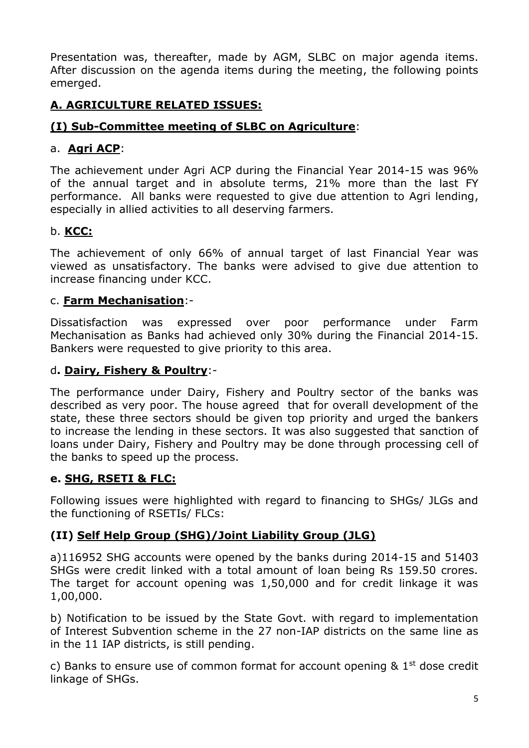Presentation was, thereafter, made by AGM, SLBC on major agenda items. After discussion on the agenda items during the meeting, the following points emerged.

## **A. AGRICULTURE RELATED ISSUES:**

## **(I) Sub-Committee meeting of SLBC on Agriculture**:

#### a. **Agri ACP**:

The achievement under Agri ACP during the Financial Year 2014-15 was 96% of the annual target and in absolute terms, 21% more than the last FY performance. All banks were requested to give due attention to Agri lending, especially in allied activities to all deserving farmers.

## b. **KCC:**

The achievement of only 66% of annual target of last Financial Year was viewed as unsatisfactory. The banks were advised to give due attention to increase financing under KCC.

#### c. **Farm Mechanisation**:-

Dissatisfaction was expressed over poor performance under Farm Mechanisation as Banks had achieved only 30% during the Financial 2014-15. Bankers were requested to give priority to this area.

#### d**. Dairy, Fishery & Poultry**:-

The performance under Dairy, Fishery and Poultry sector of the banks was described as very poor. The house agreed that for overall development of the state, these three sectors should be given top priority and urged the bankers to increase the lending in these sectors. It was also suggested that sanction of loans under Dairy, Fishery and Poultry may be done through processing cell of the banks to speed up the process.

#### **e. SHG, RSETI & FLC:**

Following issues were highlighted with regard to financing to SHGs/ JLGs and the functioning of RSETIs/ FLCs:

## **(II) Self Help Group (SHG)/Joint Liability Group (JLG)**

a)116952 SHG accounts were opened by the banks during 2014-15 and 51403 SHGs were credit linked with a total amount of loan being Rs 159.50 crores. The target for account opening was 1,50,000 and for credit linkage it was 1,00,000.

b) Notification to be issued by the State Govt. with regard to implementation of Interest Subvention scheme in the 27 non-IAP districts on the same line as in the 11 IAP districts, is still pending.

c) Banks to ensure use of common format for account opening  $\&$  1<sup>st</sup> dose credit linkage of SHGs.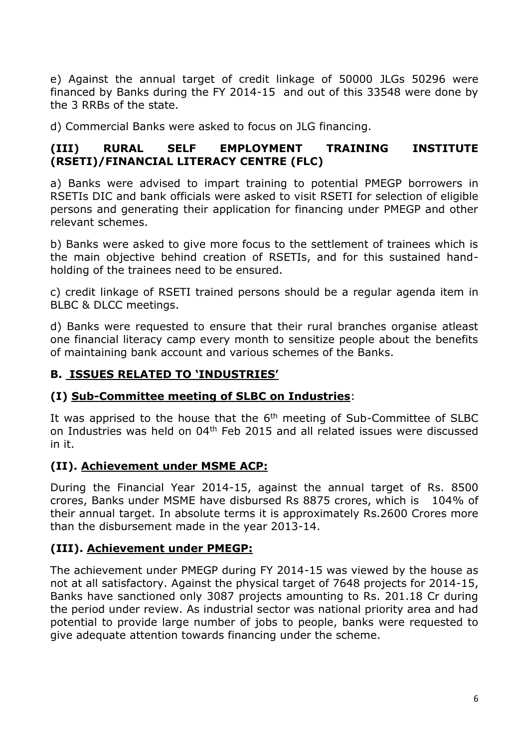e) Against the annual target of credit linkage of 50000 JLGs 50296 were financed by Banks during the FY 2014-15 and out of this 33548 were done by the 3 RRBs of the state.

d) Commercial Banks were asked to focus on JLG financing.

#### **(III) RURAL SELF EMPLOYMENT TRAINING INSTITUTE (RSETI)/FINANCIAL LITERACY CENTRE (FLC)**

a) Banks were advised to impart training to potential PMEGP borrowers in RSETIs DIC and bank officials were asked to visit RSETI for selection of eligible persons and generating their application for financing under PMEGP and other relevant schemes.

b) Banks were asked to give more focus to the settlement of trainees which is the main objective behind creation of RSETIs, and for this sustained handholding of the trainees need to be ensured.

c) credit linkage of RSETI trained persons should be a regular agenda item in BLBC & DLCC meetings.

d) Banks were requested to ensure that their rural branches organise atleast one financial literacy camp every month to sensitize people about the benefits of maintaining bank account and various schemes of the Banks.

## **B. ISSUES RELATED TO 'INDUSTRIES'**

#### **(I) Sub-Committee meeting of SLBC on Industries**:

It was apprised to the house that the  $6<sup>th</sup>$  meeting of Sub-Committee of SLBC on Industries was held on 04th Feb 2015 and all related issues were discussed in it.

#### **(II). Achievement under MSME ACP:**

During the Financial Year 2014-15, against the annual target of Rs. 8500 crores, Banks under MSME have disbursed Rs 8875 crores, which is 104% of their annual target. In absolute terms it is approximately Rs.2600 Crores more than the disbursement made in the year 2013-14.

#### **(III). Achievement under PMEGP:**

The achievement under PMEGP during FY 2014-15 was viewed by the house as not at all satisfactory. Against the physical target of 7648 projects for 2014-15, Banks have sanctioned only 3087 projects amounting to Rs. 201.18 Cr during the period under review. As industrial sector was national priority area and had potential to provide large number of jobs to people, banks were requested to give adequate attention towards financing under the scheme.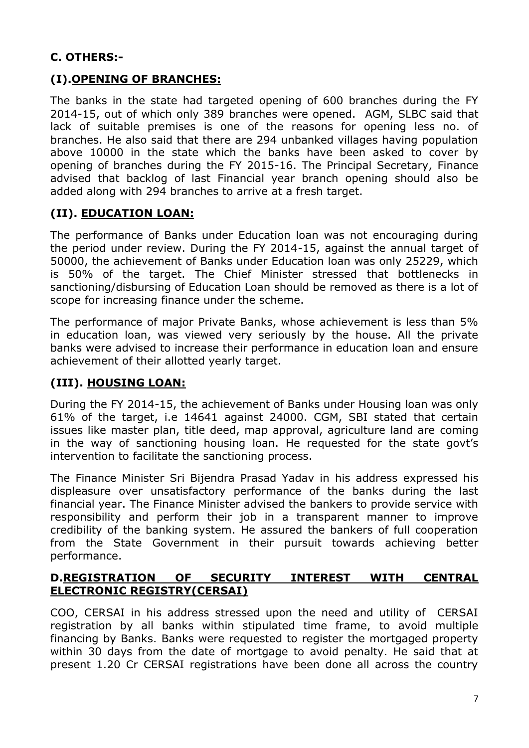## **C. OTHERS:-**

#### **(I).OPENING OF BRANCHES:**

The banks in the state had targeted opening of 600 branches during the FY 2014-15, out of which only 389 branches were opened. AGM, SLBC said that lack of suitable premises is one of the reasons for opening less no. of branches. He also said that there are 294 unbanked villages having population above 10000 in the state which the banks have been asked to cover by opening of branches during the FY 2015-16. The Principal Secretary, Finance advised that backlog of last Financial year branch opening should also be added along with 294 branches to arrive at a fresh target.

## **(II). EDUCATION LOAN:**

The performance of Banks under Education loan was not encouraging during the period under review. During the FY 2014-15, against the annual target of 50000, the achievement of Banks under Education loan was only 25229, which is 50% of the target. The Chief Minister stressed that bottlenecks in sanctioning/disbursing of Education Loan should be removed as there is a lot of scope for increasing finance under the scheme.

The performance of major Private Banks, whose achievement is less than 5% in education loan, was viewed very seriously by the house. All the private banks were advised to increase their performance in education loan and ensure achievement of their allotted yearly target.

## **(III). HOUSING LOAN:**

During the FY 2014-15, the achievement of Banks under Housing loan was only 61% of the target, i.e 14641 against 24000. CGM, SBI stated that certain issues like master plan, title deed, map approval, agriculture land are coming in the way of sanctioning housing loan. He requested for the state govt's intervention to facilitate the sanctioning process.

The Finance Minister Sri Bijendra Prasad Yadav in his address expressed his displeasure over unsatisfactory performance of the banks during the last financial year. The Finance Minister advised the bankers to provide service with responsibility and perform their job in a transparent manner to improve credibility of the banking system. He assured the bankers of full cooperation from the State Government in their pursuit towards achieving better performance.

#### **D.REGISTRATION OF SECURITY INTEREST WITH CENTRAL ELECTRONIC REGISTRY(CERSAI)**

COO, CERSAI in his address stressed upon the need and utility of CERSAI registration by all banks within stipulated time frame, to avoid multiple financing by Banks. Banks were requested to register the mortgaged property within 30 days from the date of mortgage to avoid penalty. He said that at present 1.20 Cr CERSAI registrations have been done all across the country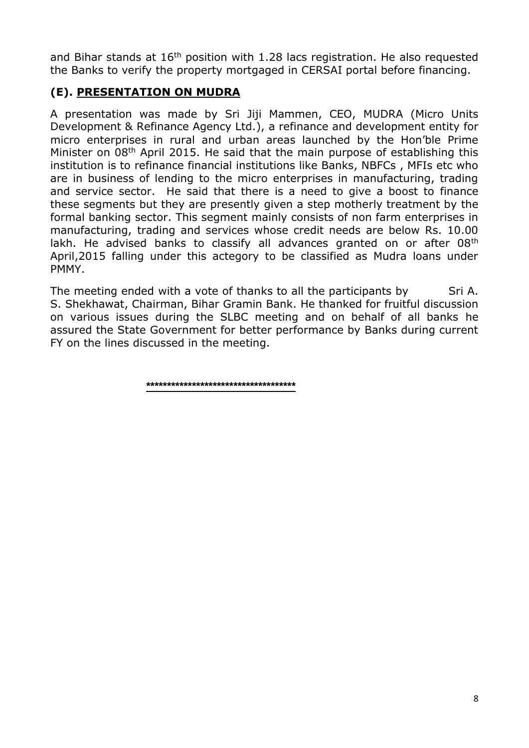and Bihar stands at 16<sup>th</sup> position with 1.28 lacs registration. He also requested the Banks to verify the property mortgaged in CERSAI portal before financing.

## **(E). PRESENTATION ON MUDRA**

A presentation was made by Sri Jiji Mammen, CEO, MUDRA (Micro Units Development & Refinance Agency Ltd.), a refinance and development entity for micro enterprises in rural and urban areas launched by the Hon'ble Prime Minister on 08<sup>th</sup> April 2015. He said that the main purpose of establishing this institution is to refinance financial institutions like Banks, NBFCs , MFIs etc who are in business of lending to the micro enterprises in manufacturing, trading and service sector. He said that there is a need to give a boost to finance these segments but they are presently given a step motherly treatment by the formal banking sector. This segment mainly consists of non farm enterprises in manufacturing, trading and services whose credit needs are below Rs. 10.00 lakh. He advised banks to classify all advances granted on or after 08<sup>th</sup> April,2015 falling under this actegory to be classified as Mudra loans under PMMY.

The meeting ended with a vote of thanks to all the participants by Sri A. S. Shekhawat, Chairman, Bihar Gramin Bank. He thanked for fruitful discussion on various issues during the SLBC meeting and on behalf of all banks he assured the State Government for better performance by Banks during current FY on the lines discussed in the meeting.

**\*\*\*\*\*\*\*\*\*\*\*\*\*\*\*\*\*\*\*\*\*\*\*\*\*\*\*\*\*\*\*\*\*\*\*\***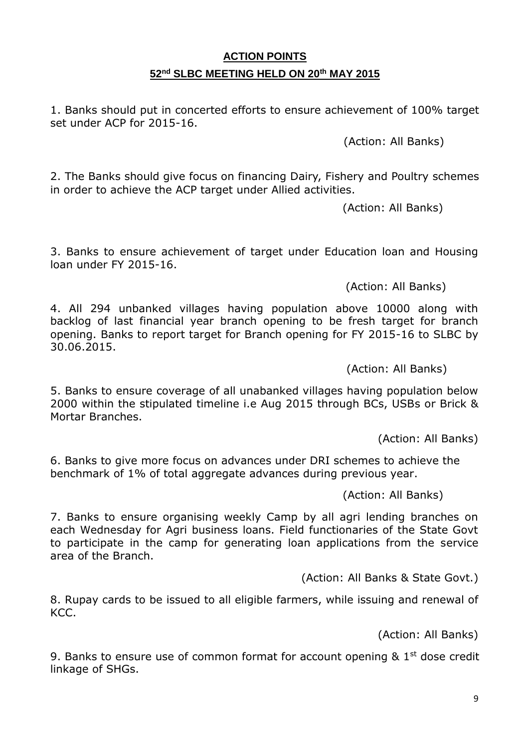# **ACTION POINTS 52nd SLBC MEETING HELD ON 20th MAY 2015**

1. Banks should put in concerted efforts to ensure achievement of 100% target set under ACP for 2015-16.

(Action: All Banks)

2. The Banks should give focus on financing Dairy, Fishery and Poultry schemes in order to achieve the ACP target under Allied activities.

(Action: All Banks)

3. Banks to ensure achievement of target under Education loan and Housing loan under FY 2015-16.

(Action: All Banks)

4. All 294 unbanked villages having population above 10000 along with backlog of last financial year branch opening to be fresh target for branch opening. Banks to report target for Branch opening for FY 2015-16 to SLBC by 30.06.2015.

(Action: All Banks)

5. Banks to ensure coverage of all unabanked villages having population below 2000 within the stipulated timeline i.e Aug 2015 through BCs, USBs or Brick & Mortar Branches.

(Action: All Banks)

6. Banks to give more focus on advances under DRI schemes to achieve the benchmark of 1% of total aggregate advances during previous year.

(Action: All Banks)

7. Banks to ensure organising weekly Camp by all agri lending branches on each Wednesday for Agri business loans. Field functionaries of the State Govt to participate in the camp for generating loan applications from the service area of the Branch.

(Action: All Banks & State Govt.)

8. Rupay cards to be issued to all eligible farmers, while issuing and renewal of KCC.

(Action: All Banks)

9. Banks to ensure use of common format for account opening  $\&$  1<sup>st</sup> dose credit linkage of SHGs.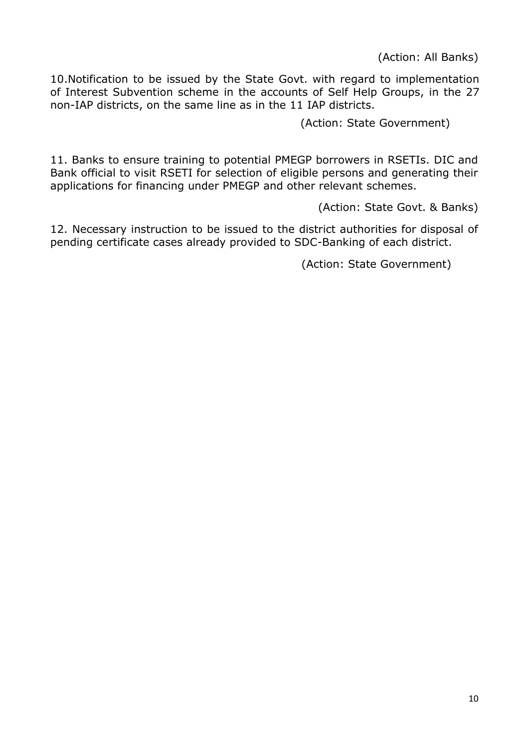(Action: All Banks)

10.Notification to be issued by the State Govt. with regard to implementation of Interest Subvention scheme in the accounts of Self Help Groups, in the 27 non-IAP districts, on the same line as in the 11 IAP districts.

(Action: State Government)

11. Banks to ensure training to potential PMEGP borrowers in RSETIs. DIC and Bank official to visit RSETI for selection of eligible persons and generating their applications for financing under PMEGP and other relevant schemes.

(Action: State Govt. & Banks)

12. Necessary instruction to be issued to the district authorities for disposal of pending certificate cases already provided to SDC-Banking of each district.

(Action: State Government)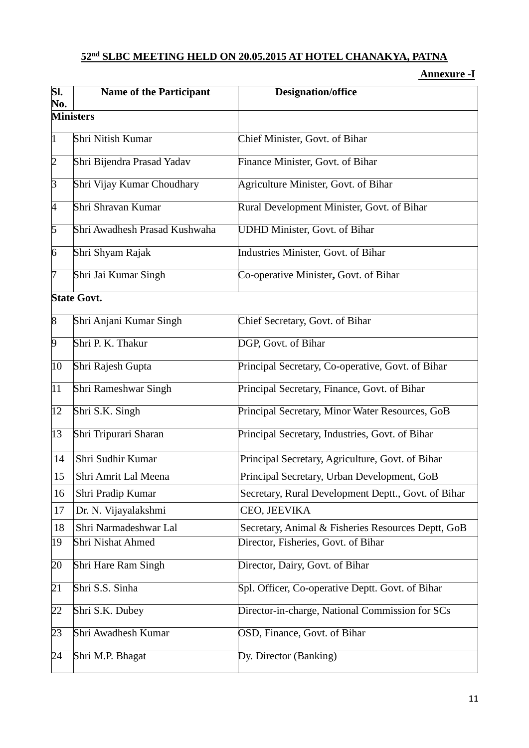## **nd SLBC MEETING HELD ON 20.05.2015 AT HOTEL CHANAKYA, PATNA**

| SI.<br>No.              | <b>Name of the Participant</b> | <b>Designation/office</b>                           |
|-------------------------|--------------------------------|-----------------------------------------------------|
| <b>Ministers</b>        |                                |                                                     |
| $\overline{\mathbf{1}}$ | Shri Nitish Kumar              | Chief Minister, Govt. of Bihar                      |
| $\overline{c}$          | Shri Bijendra Prasad Yadav     | Finance Minister, Govt. of Bihar                    |
| $\vert 3 \vert$         | Shri Vijay Kumar Choudhary     | Agriculture Minister, Govt. of Bihar                |
| 4                       | Shri Shravan Kumar             | Rural Development Minister, Govt. of Bihar          |
| 5                       | Shri Awadhesh Prasad Kushwaha  | <b>UDHD Minister, Govt. of Bihar</b>                |
| 6                       | Shri Shyam Rajak               | Industries Minister, Govt. of Bihar                 |
| 7                       | Shri Jai Kumar Singh           | Co-operative Minister, Govt. of Bihar               |
|                         | <b>State Govt.</b>             |                                                     |
| $\vert 8$               | Shri Anjani Kumar Singh        | Chief Secretary, Govt. of Bihar                     |
| 9                       | Shri P. K. Thakur              | DGP, Govt. of Bihar                                 |
| 10                      | Shri Rajesh Gupta              | Principal Secretary, Co-operative, Govt. of Bihar   |
| 11                      | Shri Rameshwar Singh           | Principal Secretary, Finance, Govt. of Bihar        |
| 12                      | Shri S.K. Singh                | Principal Secretary, Minor Water Resources, GoB     |
| 13                      | Shri Tripurari Sharan          | Principal Secretary, Industries, Govt. of Bihar     |
| 14                      | Shri Sudhir Kumar              | Principal Secretary, Agriculture, Govt. of Bihar    |
| 15                      | Shri Amrit Lal Meena           | Principal Secretary, Urban Development, GoB         |
| 16                      | Shri Pradip Kumar              | Secretary, Rural Development Deptt., Govt. of Bihar |
| 17                      | Dr. N. Vijayalakshmi           | CEO, JEEVIKA                                        |
| 18                      | Shri Narmadeshwar Lal          | Secretary, Animal & Fisheries Resources Deptt, GoB  |
| 19                      | Shri Nishat Ahmed              | Director, Fisheries, Govt. of Bihar                 |
| 20                      | Shri Hare Ram Singh            | Director, Dairy, Govt. of Bihar                     |
| 21                      | Shri S.S. Sinha                | Spl. Officer, Co-operative Deptt. Govt. of Bihar    |
| 22                      | Shri S.K. Dubey                | Director-in-charge, National Commission for SCs     |
| 23                      | Shri Awadhesh Kumar            | OSD, Finance, Govt. of Bihar                        |
| 24                      | Shri M.P. Bhagat               | Dy. Director (Banking)                              |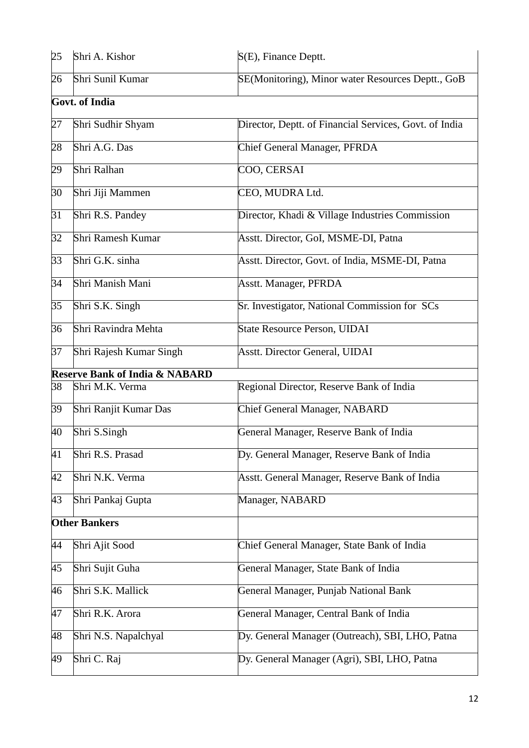| 25 | Shri A. Kishor                            | S(E), Finance Deptt.                                   |  |  |  |
|----|-------------------------------------------|--------------------------------------------------------|--|--|--|
| 26 | Shri Sunil Kumar                          | SE(Monitoring), Minor water Resources Deptt., GoB      |  |  |  |
|    | <b>Govt. of India</b>                     |                                                        |  |  |  |
| 27 | Shri Sudhir Shyam                         | Director, Deptt. of Financial Services, Govt. of India |  |  |  |
| 28 | Shri A.G. Das                             | Chief General Manager, PFRDA                           |  |  |  |
| 29 | Shri Ralhan                               | COO, CERSAI                                            |  |  |  |
| 30 | Shri Jiji Mammen                          | CEO, MUDRA Ltd.                                        |  |  |  |
| 31 | Shri R.S. Pandey                          | Director, Khadi & Village Industries Commission        |  |  |  |
| 32 | Shri Ramesh Kumar                         | Asstt. Director, GoI, MSME-DI, Patna                   |  |  |  |
| 33 | Shri G.K. sinha                           | Asstt. Director, Govt. of India, MSME-DI, Patna        |  |  |  |
| 34 | Shri Manish Mani                          | Asstt. Manager, PFRDA                                  |  |  |  |
| 35 | Shri S.K. Singh                           | Sr. Investigator, National Commission for SCs          |  |  |  |
| 36 | Shri Ravindra Mehta                       | State Resource Person, UIDAI                           |  |  |  |
| 37 | Shri Rajesh Kumar Singh                   | Asstt. Director General, UIDAI                         |  |  |  |
|    | <b>Reserve Bank of India &amp; NABARD</b> |                                                        |  |  |  |
| 38 | Shri M.K. Verma                           | Regional Director, Reserve Bank of India               |  |  |  |
| 39 | Shri Ranjit Kumar Das                     | <b>Chief General Manager, NABARD</b>                   |  |  |  |
| 40 |                                           |                                                        |  |  |  |
|    | Shri S.Singh                              | General Manager, Reserve Bank of India                 |  |  |  |
| 41 | Shri R.S. Prasad                          | Dy. General Manager, Reserve Bank of India             |  |  |  |
| 42 | Shri N.K. Verma                           | Asstt. General Manager, Reserve Bank of India          |  |  |  |
| 43 | Shri Pankaj Gupta                         | Manager, NABARD                                        |  |  |  |
|    | <b>Other Bankers</b>                      |                                                        |  |  |  |
| 44 | Shri Ajit Sood                            | Chief General Manager, State Bank of India             |  |  |  |
| 45 | Shri Sujit Guha                           | General Manager, State Bank of India                   |  |  |  |
| 46 | Shri S.K. Mallick                         | General Manager, Punjab National Bank                  |  |  |  |
| 47 | Shri R.K. Arora                           | General Manager, Central Bank of India                 |  |  |  |
| 48 | Shri N.S. Napalchyal                      | Dy. General Manager (Outreach), SBI, LHO, Patna        |  |  |  |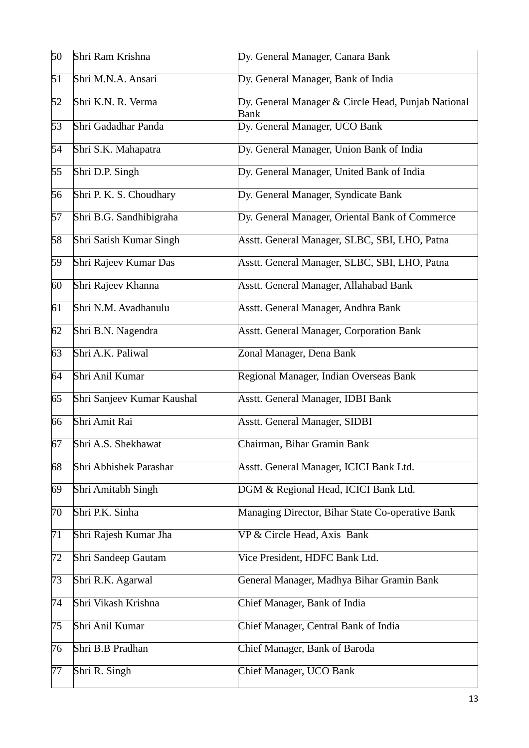| 50 | Shri Ram Krishna           | Dy. General Manager, Canara Bank                           |
|----|----------------------------|------------------------------------------------------------|
| 51 | Shri M.N.A. Ansari         | Dy. General Manager, Bank of India                         |
| 52 | Shri K.N. R. Verma         | Dy. General Manager & Circle Head, Punjab National<br>Bank |
| 53 | Shri Gadadhar Panda        | Dy. General Manager, UCO Bank                              |
| 54 | Shri S.K. Mahapatra        | Dy. General Manager, Union Bank of India                   |
| 55 | Shri D.P. Singh            | Dy. General Manager, United Bank of India                  |
| 56 | Shri P. K. S. Choudhary    | Dy. General Manager, Syndicate Bank                        |
| 57 | Shri B.G. Sandhibigraha    | Dy. General Manager, Oriental Bank of Commerce             |
| 58 | Shri Satish Kumar Singh    | Asstt. General Manager, SLBC, SBI, LHO, Patna              |
| 59 | Shri Rajeev Kumar Das      | Asstt. General Manager, SLBC, SBI, LHO, Patna              |
| 60 | Shri Rajeev Khanna         | Asstt. General Manager, Allahabad Bank                     |
| 61 | Shri N.M. Avadhanulu       | Asstt. General Manager, Andhra Bank                        |
| 62 | Shri B.N. Nagendra         | <b>Asstt. General Manager, Corporation Bank</b>            |
| 63 | Shri A.K. Paliwal          | Zonal Manager, Dena Bank                                   |
| 64 | Shri Anil Kumar            | Regional Manager, Indian Overseas Bank                     |
| 65 | Shri Sanjeev Kumar Kaushal | Asstt. General Manager, IDBI Bank                          |
| 66 | Shri Amit Rai              | <b>Asstt. General Manager, SIDBI</b>                       |
| 67 | Shri A.S. Shekhawat        | Chairman, Bihar Gramin Bank                                |
| 68 | Shri Abhishek Parashar     | Asstt. General Manager, ICICI Bank Ltd.                    |
| 69 | Shri Amitabh Singh         | DGM & Regional Head, ICICI Bank Ltd.                       |
| 70 | Shri P.K. Sinha            | Managing Director, Bihar State Co-operative Bank           |
| 71 | Shri Rajesh Kumar Jha      | VP & Circle Head, Axis Bank                                |
| 72 | Shri Sandeep Gautam        | Vice President, HDFC Bank Ltd.                             |
| 73 | Shri R.K. Agarwal          | General Manager, Madhya Bihar Gramin Bank                  |
| 74 | Shri Vikash Krishna        | Chief Manager, Bank of India                               |
| 75 | Shri Anil Kumar            | Chief Manager, Central Bank of India                       |
| 76 | Shri B.B Pradhan           | Chief Manager, Bank of Baroda                              |
| 77 | Shri R. Singh              | Chief Manager, UCO Bank                                    |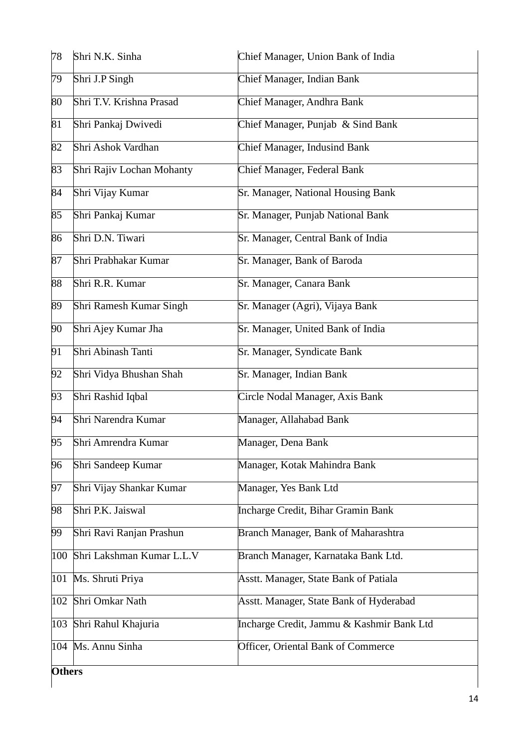| 78            | Shri N.K. Sinha           | Chief Manager, Union Bank of India        |
|---------------|---------------------------|-------------------------------------------|
| 79            | Shri J.P Singh            | Chief Manager, Indian Bank                |
| 80            | Shri T.V. Krishna Prasad  | Chief Manager, Andhra Bank                |
| 81            | Shri Pankaj Dwivedi       | Chief Manager, Punjab & Sind Bank         |
| 82            | Shri Ashok Vardhan        | Chief Manager, Indusind Bank              |
| 83            | Shri Rajiv Lochan Mohanty | Chief Manager, Federal Bank               |
| 84            | Shri Vijay Kumar          | Sr. Manager, National Housing Bank        |
| 85            | Shri Pankaj Kumar         | Sr. Manager, Punjab National Bank         |
| 86            | Shri D.N. Tiwari          | Sr. Manager, Central Bank of India        |
| 87            | Shri Prabhakar Kumar      | Sr. Manager, Bank of Baroda               |
| 88            | Shri R.R. Kumar           | Sr. Manager, Canara Bank                  |
| 89            | Shri Ramesh Kumar Singh   | Sr. Manager (Agri), Vijaya Bank           |
| 90            | Shri Ajey Kumar Jha       | Sr. Manager, United Bank of India         |
| 91            | Shri Abinash Tanti        | Sr. Manager, Syndicate Bank               |
| 92            | Shri Vidya Bhushan Shah   | Sr. Manager, Indian Bank                  |
| 93            | Shri Rashid Iqbal         | Circle Nodal Manager, Axis Bank           |
| 94            | Shri Narendra Kumar       | Manager, Allahabad Bank                   |
| 95            | Shri Amrendra Kumar       | Manager, Dena Bank                        |
| 96            | Shri Sandeep Kumar        | Manager, Kotak Mahindra Bank              |
| 97            | Shri Vijay Shankar Kumar  | Manager, Yes Bank Ltd                     |
| 98            | Shri P.K. Jaiswal         | Incharge Credit, Bihar Gramin Bank        |
| 99            | Shri Ravi Ranjan Prashun  | Branch Manager, Bank of Maharashtra       |
| 100           | Shri Lakshman Kumar L.L.V | Branch Manager, Karnataka Bank Ltd.       |
| 101           | Ms. Shruti Priya          | Asstt. Manager, State Bank of Patiala     |
| 102           | Shri Omkar Nath           | Asstt. Manager, State Bank of Hyderabad   |
| 103           | Shri Rahul Khajuria       | Incharge Credit, Jammu & Kashmir Bank Ltd |
|               | 104 Ms. Annu Sinha        | Officer, Oriental Bank of Commerce        |
| <b>Others</b> |                           |                                           |

 $\overline{\phantom{a}}$